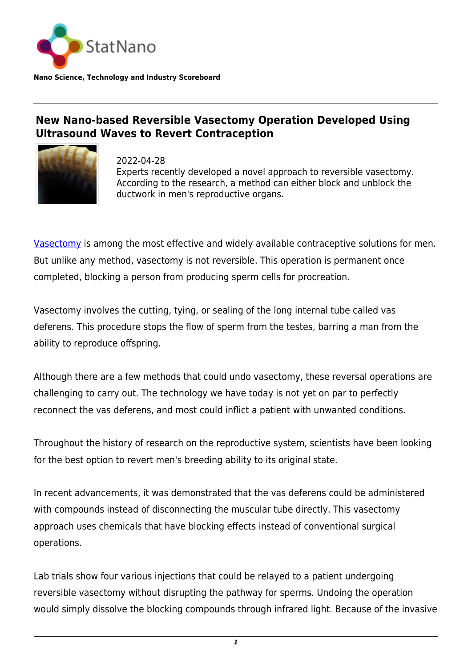

**Nano Science, Technology and Industry Scoreboard**

## **New Nano-based Reversible Vasectomy Operation Developed Using Ultrasound Waves to Revert Contraception**



2022-04-28 Experts recently developed a novel approach to reversible vasectomy. According to the research, a method can either block and unblock the ductwork in men's reproductive organs.

[Vasectomy](https://www.mayoclinic.org/tests-procedures/vasectomy/about/pac-20384580) is among the most effective and widely available contraceptive solutions for men. But unlike any method, vasectomy is not reversible. This operation is permanent once completed, blocking a person from producing sperm cells for procreation.

Vasectomy involves the cutting, tying, or sealing of the long internal tube called vas deferens. This procedure stops the flow of sperm from the testes, barring a man from the ability to reproduce offspring.

Although there are a few methods that could undo vasectomy, these reversal operations are challenging to carry out. The technology we have today is not yet on par to perfectly reconnect the vas deferens, and most could inflict a patient with unwanted conditions.

Throughout the history of research on the reproductive system, scientists have been looking for the best option to revert men's breeding ability to its original state.

In recent advancements, it was demonstrated that the vas deferens could be administered with compounds instead of disconnecting the muscular tube directly. This vasectomy approach uses chemicals that have blocking effects instead of conventional surgical operations.

Lab trials show four various injections that could be relayed to a patient undergoing reversible vasectomy without disrupting the pathway for sperms. Undoing the operation would simply dissolve the blocking compounds through infrared light. Because of the invasive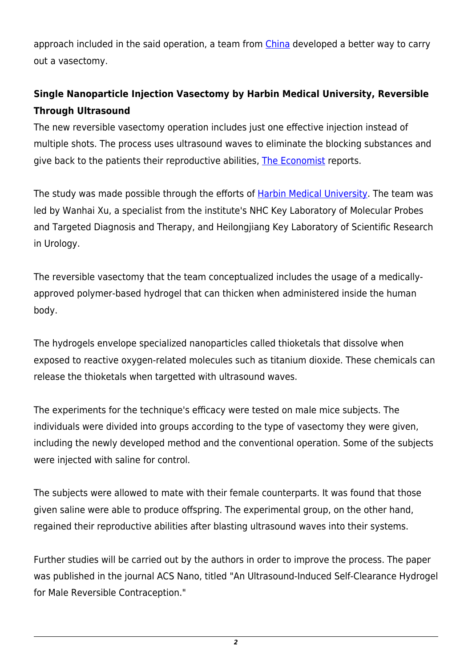approach included in the said operation, a team from [China](http://statnano.com/country/China) developed a better way to carry out a vasectomy.

## **Single Nanoparticle Injection Vasectomy by Harbin Medical University, Reversible Through Ultrasound**

The new reversible vasectomy operation includes just one effective injection instead of multiple shots. The process uses ultrasound waves to eliminate the blocking substances and give back to the patients their reproductive abilities, [The Economist](https://www.economist.com/science-and-technology/a-sound-way-towards-reversible-vasectomies/21808844) reports.

The study was made possible through the efforts of [Harbin Medical University.](https://www.hrbmu.edu.cn/) The team was led by Wanhai Xu, a specialist from the institute's NHC Key Laboratory of Molecular Probes and Targeted Diagnosis and Therapy, and Heilongjiang Key Laboratory of Scientific Research in Urology.

The reversible vasectomy that the team conceptualized includes the usage of a medicallyapproved polymer-based hydrogel that can thicken when administered inside the human body.

The hydrogels envelope specialized nanoparticles called thioketals that dissolve when exposed to reactive oxygen-related molecules such as titanium dioxide. These chemicals can release the thioketals when targetted with ultrasound waves.

The experiments for the technique's efficacy were tested on male mice subjects. The individuals were divided into groups according to the type of vasectomy they were given, including the newly developed method and the conventional operation. Some of the subjects were injected with saline for control.

The subjects were allowed to mate with their female counterparts. It was found that those given saline were able to produce offspring. The experimental group, on the other hand, regained their reproductive abilities after blasting ultrasound waves into their systems.

Further studies will be carried out by the authors in order to improve the process. The paper was published in the journal ACS Nano, titled "An Ultrasound-Induced Self-Clearance Hydrogel for Male Reversible Contraception."